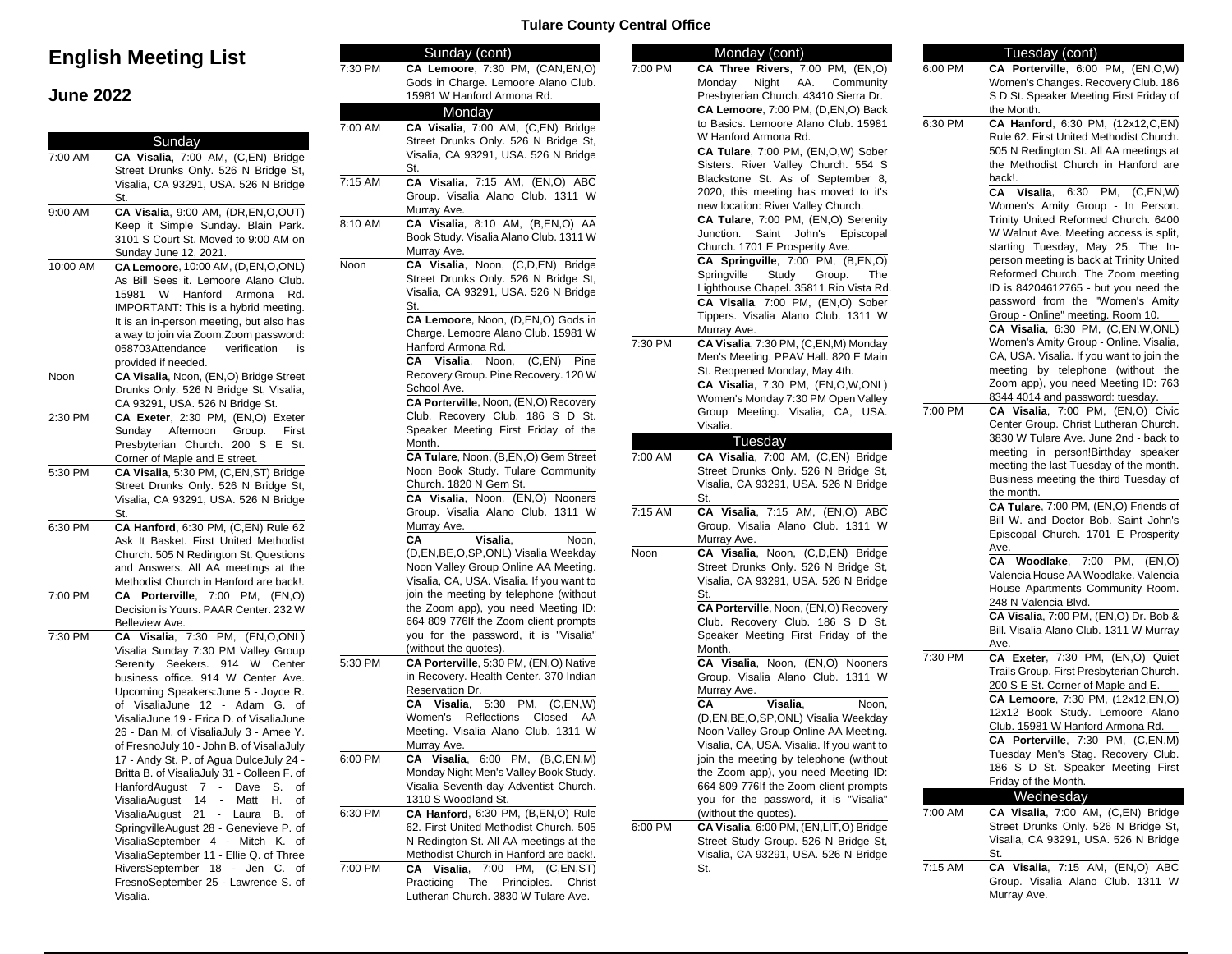# **English Meeting List**

## **June 2022**

|          | Sunday                                                   | 7.U  |
|----------|----------------------------------------------------------|------|
| 7:00 AM  | CA Visalia, 7:00 AM, (C,EN) Bridge                       |      |
|          | Street Drunks Only. 526 N Bridge St,                     |      |
|          | Visalia, CA 93291, USA. 526 N Bridge                     | 7:15 |
|          | St.                                                      |      |
| 9:00 AM  | CA Visalia, 9:00 AM, (DR,EN,O,OUT)                       |      |
|          | Keep it Simple Sunday. Blain Park.                       | 8:10 |
|          | 3101 S Court St. Moved to 9:00 AM on                     |      |
|          | Sunday June 12, 2021.                                    |      |
| 10:00 AM | CA Lemoore, 10:00 AM, (D,EN,O,ONL)                       | Noo  |
|          | As Bill Sees it. Lemoore Alano Club.                     |      |
|          | 15981<br>W<br>Hanford<br>Armona<br>Rd.                   |      |
|          | IMPORTANT: This is a hybrid meeting.                     |      |
|          | It is an in-person meeting, but also has                 |      |
|          | a way to join via Zoom.Zoom password:                    |      |
|          | 058703Attendance<br>verification<br>is                   |      |
|          | provided if needed.                                      |      |
| Noon     | CA Visalia, Noon, (EN,O) Bridge Street                   |      |
|          | Drunks Only. 526 N Bridge St, Visalia,                   |      |
|          | CA 93291, USA. 526 N Bridge St.                          |      |
| 2:30 PM  | CA Exeter, 2:30 PM, (EN,O) Exeter                        |      |
|          | Afternoon<br>Sunday<br>Group.<br>First                   |      |
|          | S<br>Presbyterian Church.<br>200<br>Ε<br>St.             |      |
|          | Corner of Maple and E street.                            |      |
| 5:30 PM  | CA Visalia, 5:30 PM, (C,EN,ST) Bridge                    |      |
|          | Street Drunks Only. 526 N Bridge St,                     |      |
|          | Visalia, CA 93291, USA. 526 N Bridge                     |      |
|          | St.                                                      |      |
| 6:30 PM  | CA Hanford, 6:30 PM, (C,EN) Rule 62                      |      |
|          | Ask It Basket. First United Methodist                    |      |
|          | Church. 505 N Redington St. Questions                    |      |
|          | and Answers. All AA meetings at the                      |      |
|          | Methodist Church in Hanford are back!.                   |      |
| 7:00 PM  | 7:00<br>PM,<br>CА<br>Porterville,<br>(EN, O)             |      |
|          | Decision is Yours. PAAR Center. 232 W                    |      |
|          | Belleview Ave.                                           |      |
| 7:30 PM  | (EN,O,ONL)<br>CA Visalia,<br>7:30 PM,                    |      |
|          | Visalia Sunday 7:30 PM Valley Group                      |      |
|          | 914<br>Serenity<br>Seekers.<br>- W<br>Center             | 5:30 |
|          | business office. 914 W Center Ave.                       |      |
|          | Upcoming Speakers: June 5 - Joyce R.                     |      |
|          | of VisaliaJune<br>12<br>- Adam G.<br>of                  |      |
|          | VisaliaJune 19 - Erica D. of VisaliaJune                 |      |
|          | 26 - Dan M. of VisaliaJuly 3 - Amee Y.                   |      |
|          | of FresnoJuly 10 - John B. of VisaliaJuly                |      |
|          | 17 - Andy St. P. of Agua DulceJuly 24 -                  | 6:00 |
|          | Britta B. of VisaliaJuly 31 - Colleen F. of              |      |
|          | HanfordAugust<br>7<br>Dave<br>S.<br>of                   |      |
|          | Η.<br>VisaliaAugust<br>14<br>Matt<br>of<br>$\frac{1}{2}$ |      |
|          | 21<br>VisaliaAugust<br>÷,<br>Laura<br>В.<br>οf           | 6:30 |
|          | SpringvilleAugust 28 - Genevieve P. of                   |      |
|          | VisaliaSeptember 4 -<br>Mitch<br>Κ.<br>οf                |      |
|          | VisaliaSeptember 11 - Ellie Q. of Three                  |      |
|          | RiversSeptember<br>18<br>Jen<br>$\sim$<br>C.<br>of       | 7:00 |
|          | FresnoSeptember 25 - Lawrence S. of                      |      |
|          | Visalia.                                                 |      |
|          |                                                          |      |

#### **Tulare County Central Office**

|         | Sunday (cont)                             |         | Monday (cont)                             |         | Tuesday (cont)                            |
|---------|-------------------------------------------|---------|-------------------------------------------|---------|-------------------------------------------|
| 7:30 PM | CA Lemoore, 7:30 PM, (CAN,EN,O)           | 7:00 PM | CA Three Rivers, 7:00 PM, (EN,O)          | 6:00 PM | CA Porterville, 6:00 PM, (EN,O,W)         |
|         | Gods in Charge. Lemoore Alano Club.       |         | Night AA.<br>Monday<br>Community          |         | Women's Changes. Recovery Club. 186       |
|         | 15981 W Hanford Armona Rd.                |         | Presbyterian Church. 43410 Sierra Dr.     |         | S D St. Speaker Meeting First Friday of   |
|         | Monday                                    |         | CA Lemoore, 7:00 PM, (D,EN,O) Back        |         | the Month.                                |
| 7:00 AM | CA Visalia, 7:00 AM, (C,EN) Bridge        |         | to Basics. Lemoore Alano Club. 15981      | 6:30 PM | CA Hanford, 6:30 PM, (12x12,C,EN)         |
|         | Street Drunks Only. 526 N Bridge St,      |         | W Hanford Armona Rd.                      |         | Rule 62. First United Methodist Church.   |
|         | Visalia, CA 93291, USA. 526 N Bridge      |         | CA Tulare, 7:00 PM, (EN,O,W) Sober        |         | 505 N Redington St. All AA meetings at    |
|         | St.                                       |         | Sisters. River Valley Church. 554 S       |         | the Methodist Church in Hanford are       |
| 7:15 AM | CA Visalia, 7:15 AM, (EN,O) ABC           |         | Blackstone St. As of September 8,         |         | back!.                                    |
|         |                                           |         | 2020, this meeting has moved to it's      |         | CA Visalia, 6:30 PM, (C,EN,W)             |
|         | Group. Visalia Alano Club. 1311 W         |         | new location: River Valley Church.        |         | Women's Amity Group - In Person.          |
|         | Murray Ave.                               |         | CA Tulare, 7:00 PM, (EN,O) Serenity       |         | Trinity United Reformed Church. 6400      |
| 8:10 AM | CA Visalia, 8:10 AM, (B,EN,O) AA          |         | Junction. Saint John's Episcopal          |         | W Walnut Ave. Meeting access is split,    |
|         | Book Study. Visalia Alano Club. 1311 W    |         | Church. 1701 E Prosperity Ave.            |         | starting Tuesday, May 25. The In-         |
|         | Murray Ave.                               |         | CA Springville, 7:00 PM, (B,EN,O)         |         | person meeting is back at Trinity United  |
| Noon    | CA Visalia, Noon, (C,D,EN) Bridge         |         | Springville<br>Study<br>Group.<br>The     |         | Reformed Church. The Zoom meeting         |
|         | Street Drunks Only. 526 N Bridge St,      |         | Lighthouse Chapel. 35811 Rio Vista Rd.    |         | ID is 84204612765 - but you need the      |
|         | Visalia, CA 93291, USA. 526 N Bridge      |         | CA Visalia, 7:00 PM, (EN,O) Sober         |         | password from the "Women's Amity          |
|         | St.                                       |         | Tippers. Visalia Alano Club. 1311 W       |         | Group - Online" meeting. Room 10.         |
|         | CA Lemoore, Noon, (D,EN,O) Gods in        |         |                                           |         | CA Visalia, 6:30 PM, (C,EN,W,ONL)         |
|         | Charge. Lemoore Alano Club. 15981 W       | 7:30 PM | Murray Ave.                               |         |                                           |
|         | Hanford Armona Rd.                        |         | CA Visalia, 7:30 PM, (C,EN,M) Monday      |         | Women's Amity Group - Online. Visalia,    |
|         | CA Visalia, Noon, (C,EN) Pine             |         | Men's Meeting. PPAV Hall. 820 E Main      |         | CA, USA. Visalia. If you want to join the |
|         | Recovery Group. Pine Recovery. 120 W      |         | St. Reopened Monday, May 4th.             |         | meeting by telephone (without the         |
|         | School Ave.                               |         | CA Visalia, 7:30 PM, (EN,O,W,ONL)         |         | Zoom app), you need Meeting ID: 763       |
|         | CA Porterville, Noon, (EN,O) Recovery     |         | Women's Monday 7:30 PM Open Valley        |         | 8344 4014 and password: tuesday.          |
|         | Club. Recovery Club. 186 S D St.          |         | Group Meeting. Visalia, CA, USA.          | 7:00 PM | CA Visalia, 7:00 PM, (EN,O) Civic         |
|         | Speaker Meeting First Friday of the       |         | Visalia.                                  |         | Center Group. Christ Lutheran Church.     |
|         | Month.                                    |         | Tuesday                                   |         | 3830 W Tulare Ave. June 2nd - back to     |
|         | CA Tulare, Noon, (B,EN,O) Gem Street      | 7:00 AM | CA Visalia, 7:00 AM, (C,EN) Bridge        |         | meeting in person!Birthday speaker        |
|         | Noon Book Study. Tulare Community         |         | Street Drunks Only. 526 N Bridge St,      |         | meeting the last Tuesday of the month.    |
|         | Church. 1820 N Gem St.                    |         | Visalia, CA 93291, USA. 526 N Bridge      |         | Business meeting the third Tuesday of     |
|         | CA Visalia, Noon, (EN,O) Nooners          |         | St.                                       |         | the month.                                |
|         | Group. Visalia Alano Club. 1311 W         | 7:15 AM | CA Visalia, 7:15 AM, (EN,O) ABC           |         | CA Tulare, 7:00 PM, (EN,O) Friends of     |
|         | Murray Ave.                               |         | Group. Visalia Alano Club. 1311 W         |         | Bill W. and Doctor Bob. Saint John's      |
|         | CA<br>Visalia,<br>Noon,                   |         | Murray Ave.                               |         | Episcopal Church. 1701 E Prosperity       |
|         | (D,EN,BE,O,SP,ONL) Visalia Weekday        | Noon    | CA Visalia, Noon, (C,D,EN) Bridge         |         | Ave.                                      |
|         | Noon Valley Group Online AA Meeting.      |         | Street Drunks Only. 526 N Bridge St,      |         | CA Woodlake, 7:00 PM, (EN,O)              |
|         | Visalia, CA, USA. Visalia. If you want to |         | Visalia, CA 93291, USA. 526 N Bridge      |         | Valencia House AA Woodlake. Valencia      |
|         | join the meeting by telephone (without    |         | St.                                       |         | House Apartments Community Room.          |
|         | the Zoom app), you need Meeting ID:       |         | CA Porterville, Noon, (EN,O) Recovery     |         | 248 N Valencia Blvd.                      |
|         | 664 809 776If the Zoom client prompts     |         | Club. Recovery Club. 186 S D St.          |         | CA Visalia, 7:00 PM, (EN,O) Dr. Bob &     |
|         | you for the password, it is "Visalia"     |         | Speaker Meeting First Friday of the       |         | Bill. Visalia Alano Club. 1311 W Murray   |
|         | (without the quotes).                     |         | Month.                                    |         | Ave.                                      |
| 5:30 PM | CA Porterville, 5:30 PM, (EN,O) Native    |         | CA Visalia, Noon, (EN,O) Nooners          | 7:30 PM | CA Exeter, 7:30 PM, (EN,O) Quiet          |
|         | in Recovery. Health Center. 370 Indian    |         | Group. Visalia Alano Club. 1311 W         |         | Trails Group. First Presbyterian Church.  |
|         | Reservation Dr.                           |         | Murray Ave.                               |         | 200 S E St. Corner of Maple and E.        |
|         | CA Visalia, 5:30 PM, (C,EN,W)             |         | Visalia,<br>CА<br>Noon,                   |         | CA Lemoore, 7:30 PM, (12x12, EN, O)       |
|         | Women's Reflections Closed AA             |         | (D,EN,BE,O,SP,ONL) Visalia Weekday        |         | 12x12 Book Study. Lemoore Alano           |
|         | Meeting. Visalia Alano Club. 1311 W       |         | Noon Valley Group Online AA Meeting.      |         | Club. 15981 W Hanford Armona Rd.          |
|         | Murray Ave.                               |         | Visalia, CA, USA. Visalia. If you want to |         | CA Porterville, 7:30 PM, (C,EN,M)         |
| 6:00 PM | CA Visalia, 6:00 PM, (B,C,EN,M)           |         | join the meeting by telephone (without    |         | Tuesday Men's Stag. Recovery Club.        |
|         | Monday Night Men's Valley Book Study.     |         | the Zoom app), you need Meeting ID:       |         | 186 S D St. Speaker Meeting First         |
|         | Visalia Seventh-day Adventist Church.     |         | 664 809 776If the Zoom client prompts     |         | Friday of the Month.                      |
|         | 1310 S Woodland St.                       |         | you for the password, it is "Visalia"     |         | Wednesday                                 |
| 6:30 PM | CA Hanford, 6:30 PM, (B,EN,O) Rule        |         | (without the quotes).                     | 7:00 AM | CA Visalia, 7:00 AM, (C,EN) Bridge        |
|         | 62. First United Methodist Church. 505    | 6:00 PM | CA Visalia, 6:00 PM, (EN,LIT,O) Bridge    |         | Street Drunks Only. 526 N Bridge St,      |
|         | N Redington St. All AA meetings at the    |         | Street Study Group. 526 N Bridge St,      |         | Visalia, CA 93291, USA. 526 N Bridge      |
|         | Methodist Church in Hanford are back!.    |         | Visalia, CA 93291, USA. 526 N Bridge      |         | St.                                       |
| 7:00 PM | CA Visalia, 7:00 PM, (C,EN,ST)            |         | St.                                       | 7:15 AM | CA Visalia, 7:15 AM, (EN,O) ABC           |
|         | Practicing The Principles. Christ         |         |                                           |         | Group. Visalia Alano Club. 1311 W         |
|         | Lutheran Church. 3830 W Tulare Ave.       |         |                                           |         | Murray Ave.                               |
|         |                                           |         |                                           |         |                                           |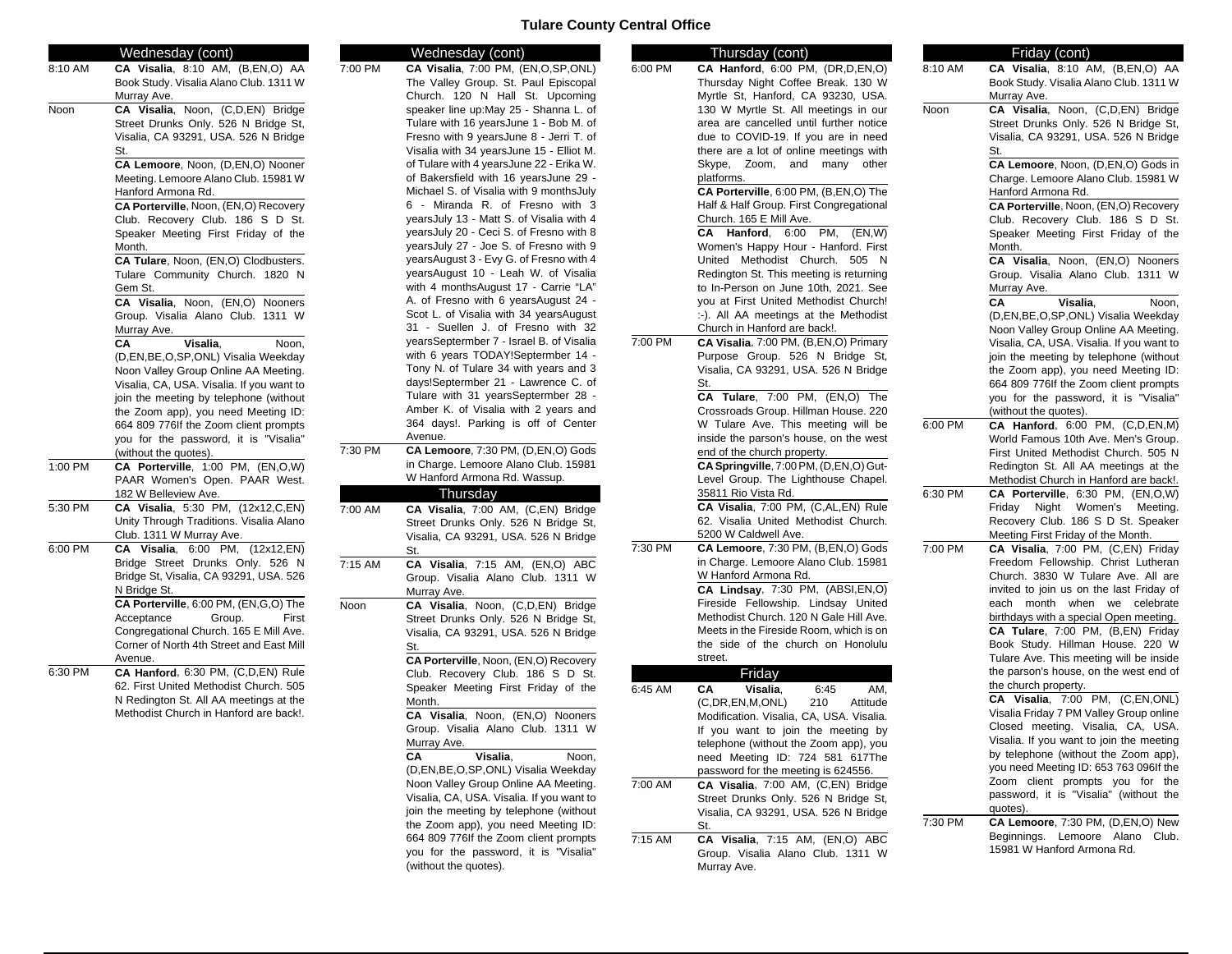#### **Tulare County Central Office**

|         | Wednesday (cont)                          |         | Wednesday (cont)                          |         | Thursday (cont)                          |           | Friday (cont)                             |
|---------|-------------------------------------------|---------|-------------------------------------------|---------|------------------------------------------|-----------|-------------------------------------------|
| 8:10 AM | CA Visalia, 8:10 AM, (B,EN,O) AA          | 7:00 PM | CA Visalia, 7:00 PM, (EN,O,SP,ONL)        | 6:00 PM | CA Hanford, 6:00 PM, (DR,D,EN,O)         | 8:10 AM   | CA Visalia, 8:10 AM, (B,EN,O) AA          |
|         | Book Study. Visalia Alano Club. 1311 W    |         | The Valley Group. St. Paul Episcopal      |         | Thursday Night Coffee Break. 130 W       |           | Book Study. Visalia Alano Club. 1311 W    |
|         | Murray Ave.                               |         | Church. 120 N Hall St. Upcoming           |         | Myrtle St, Hanford, CA 93230, USA.       |           | Murray Ave.                               |
| Noon    | CA Visalia, Noon, (C,D,EN) Bridge         |         | speaker line up: May 25 - Shanna L. of    |         | 130 W Myrtle St. All meetings in our     | Noon      | CA Visalia, Noon, (C,D,EN) Bridge         |
|         | Street Drunks Only. 526 N Bridge St,      |         | Tulare with 16 years June 1 - Bob M. of   |         | area are cancelled until further notice  |           | Street Drunks Only. 526 N Bridge St,      |
|         | Visalia, CA 93291, USA. 526 N Bridge      |         | Fresno with 9 yearsJune 8 - Jerri T. of   |         | due to COVID-19. If you are in need      |           | Visalia, CA 93291, USA. 526 N Bridge      |
|         | St.                                       |         | Visalia with 34 yearsJune 15 - Elliot M.  |         | there are a lot of online meetings with  |           | St.                                       |
|         | CA Lemoore, Noon, (D,EN,O) Nooner         |         | of Tulare with 4 yearsJune 22 - Erika W.  |         | Skype, Zoom, and many other              |           | CA Lemoore, Noon, (D,EN,O) Gods in        |
|         | Meeting. Lemoore Alano Club. 15981 W      |         | of Bakersfield with 16 yearsJune 29 -     |         | platforms.                               |           | Charge. Lemoore Alano Club. 15981 W       |
|         | Hanford Armona Rd.                        |         | Michael S. of Visalia with 9 months July  |         | CA Porterville, 6:00 PM, (B,EN,O) The    |           | Hanford Armona Rd.                        |
|         | CA Porterville, Noon, (EN,O) Recovery     |         | 6 - Miranda R. of Fresno with 3           |         | Half & Half Group. First Congregational  |           | CA Porterville, Noon, (EN,O) Recovery     |
|         | Club. Recovery Club. 186 S D St.          |         | yearsJuly 13 - Matt S. of Visalia with 4  |         | Church. 165 E Mill Ave.                  |           | Club. Recovery Club. 186 S D St.          |
|         | Speaker Meeting First Friday of the       |         | yearsJuly 20 - Ceci S. of Fresno with 8   |         | CA Hanford, 6:00 PM, (EN,W)              |           | Speaker Meeting First Friday of the       |
|         | Month.                                    |         | yearsJuly 27 - Joe S. of Fresno with 9    |         | Women's Happy Hour - Hanford. First      |           | Month.                                    |
|         | CA Tulare, Noon, (EN,O) Clodbusters.      |         | yearsAugust 3 - Evy G. of Fresno with 4   |         | United Methodist Church. 505 N           |           | CA Visalia, Noon, (EN,O) Nooners          |
|         | Tulare Community Church. 1820 N           |         | yearsAugust 10 - Leah W. of Visalia       |         | Redington St. This meeting is returning  |           | Group. Visalia Alano Club. 1311 W         |
|         | Gem St.                                   |         | with 4 monthsAugust 17 - Carrie "LA"      |         | to In-Person on June 10th, 2021. See     |           | Murray Ave.                               |
|         | CA Visalia, Noon, (EN,O) Nooners          |         | A. of Fresno with 6 years August 24 -     |         | you at First United Methodist Church!    |           | CA                                        |
|         |                                           |         | Scot L. of Visalia with 34 yearsAugust    |         |                                          |           | Visalia.<br>Noon,                         |
|         | Group. Visalia Alano Club. 1311 W         |         | 31 - Suellen J. of Fresno with 32         |         | :-). All AA meetings at the Methodist    |           | (D,EN,BE,O,SP,ONL) Visalia Weekday        |
|         | Murray Ave.                               |         | yearsSeptermber 7 - Israel B. of Visalia  | 7:00 PM | Church in Hanford are back!.             |           | Noon Valley Group Online AA Meeting.      |
|         | Visalia,<br>Noon,<br>CA                   |         | with 6 years TODAY!Septermber 14 -        |         | CA Visalia, 7:00 PM, (B,EN,O) Primary    |           | Visalia, CA, USA. Visalia. If you want to |
|         | (D,EN,BE,O,SP,ONL) Visalia Weekday        |         |                                           |         | Purpose Group. 526 N Bridge St,          |           | join the meeting by telephone (without    |
|         | Noon Valley Group Online AA Meeting.      |         | Tony N. of Tulare 34 with years and 3     |         | Visalia, CA 93291, USA. 526 N Bridge     |           | the Zoom app), you need Meeting ID:       |
|         | Visalia, CA, USA. Visalia. If you want to |         | days!Septermber 21 - Lawrence C. of       |         | St.                                      |           | 664 809 776If the Zoom client prompts     |
|         | join the meeting by telephone (without    |         | Tulare with 31 yearsSeptermber 28 -       |         | CA Tulare, 7:00 PM, (EN,O) The           |           | you for the password, it is "Visalia"     |
|         | the Zoom app), you need Meeting ID:       |         | Amber K. of Visalia with 2 years and      |         | Crossroads Group. Hillman House. 220     |           | (without the quotes).                     |
|         | 664 809 776If the Zoom client prompts     |         | 364 days!. Parking is off of Center       |         | W Tulare Ave. This meeting will be       | 6:00 PM   | CA Hanford, 6:00 PM, (C,D,EN,M)           |
|         | you for the password, it is "Visalia"     |         | Avenue.                                   |         | inside the parson's house, on the west   |           | World Famous 10th Ave. Men's Group.       |
|         | (without the quotes).                     | 7:30 PM | CA Lemoore, 7:30 PM, (D,EN,O) Gods        |         | end of the church property.              |           | First United Methodist Church. 505 N      |
| 1:00 PM | CA Porterville, 1:00 PM, (EN,O,W)         |         | in Charge. Lemoore Alano Club. 15981      |         | CA Springville, 7:00 PM, (D,EN,O) Gut-   |           | Redington St. All AA meetings at the      |
|         | PAAR Women's Open. PAAR West.             |         | W Hanford Armona Rd. Wassup.              |         | Level Group. The Lighthouse Chapel.      |           | Methodist Church in Hanford are back!.    |
|         | 182 W Belleview Ave.                      |         | Thursday                                  |         | 35811 Rio Vista Rd.                      | $6:30$ PM | CA Porterville, 6:30 PM, (EN,O,W)         |
| 5:30 PM | CA Visalia, 5:30 PM, (12x12,C,EN)         | 7:00 AM | CA Visalia, 7:00 AM, (C,EN) Bridge        |         | CA Visalia, 7:00 PM, (C,AL,EN) Rule      |           | Friday Night Women's Meeting.             |
|         | Unity Through Traditions. Visalia Alano   |         | Street Drunks Only. 526 N Bridge St,      |         | 62. Visalia United Methodist Church.     |           | Recovery Club. 186 S D St. Speaker        |
|         | Club. 1311 W Murray Ave.                  |         | Visalia, CA 93291, USA. 526 N Bridge      |         | 5200 W Caldwell Ave.                     |           | Meeting First Friday of the Month.        |
| 6:00 PM | CA Visalia, 6:00 PM, (12x12,EN)           |         | St.                                       | 7:30 PM | CA Lemoore, 7:30 PM, (B,EN,O) Gods       | 7:00 PM   | CA Visalia, 7:00 PM, (C,EN) Friday        |
|         | Bridge Street Drunks Only. 526 N          | 7:15 AM | CA Visalia, 7:15 AM, (EN,O) ABC           |         | in Charge. Lemoore Alano Club. 15981     |           | Freedom Fellowship. Christ Lutheran       |
|         | Bridge St, Visalia, CA 93291, USA. 526    |         | Group. Visalia Alano Club. 1311 W         |         | W Hanford Armona Rd.                     |           | Church. 3830 W Tulare Ave. All are        |
|         | N Bridge St.                              |         | Murray Ave.                               |         | CA Lindsay, 7:30 PM, (ABSI,EN,O)         |           | invited to join us on the last Friday of  |
|         | CA Porterville, 6:00 PM, (EN,G,O) The     | Noon    | CA Visalia, Noon, (C,D,EN) Bridge         |         | Fireside Fellowship. Lindsay United      |           | each month when we celebrate              |
|         | Group.<br>First<br>Acceptance             |         | Street Drunks Only. 526 N Bridge St,      |         | Methodist Church. 120 N Gale Hill Ave.   |           | birthdays with a special Open meeting.    |
|         | Congregational Church. 165 E Mill Ave.    |         | Visalia, CA 93291, USA. 526 N Bridge      |         | Meets in the Fireside Room, which is on  |           | CA Tulare, 7:00 PM, (B,EN) Friday         |
|         | Corner of North 4th Street and East Mill  |         | St.                                       |         | the side of the church on Honolulu       |           | Book Study. Hillman House. 220 W          |
|         | Avenue.                                   |         | CA Porterville, Noon, (EN,O) Recovery     |         | street.                                  |           | Tulare Ave. This meeting will be inside   |
| 6:30 PM | CA Hanford, 6:30 PM, (C,D,EN) Rule        |         | Club. Recovery Club. 186 S D St.          |         | Friday                                   |           | the parson's house, on the west end of    |
|         | 62. First United Methodist Church. 505    |         | Speaker Meeting First Friday of the       | 6:45 AM | 6:45<br>CA<br>Visalia,<br>AM.            |           | the church property.                      |
|         | N Redington St. All AA meetings at the    |         | Month.                                    |         |                                          |           | CA Visalia, 7:00 PM, (C,EN,ONL)           |
|         | Methodist Church in Hanford are back!.    |         | CA Visalia, Noon, (EN,O) Nooners          |         | 210<br>(C,DR, EN, M, ONL)<br>Attitude    |           | Visalia Friday 7 PM Valley Group online   |
|         |                                           |         | Group. Visalia Alano Club. 1311 W         |         | Modification. Visalia, CA, USA. Visalia. |           | Closed meeting. Visalia, CA, USA.         |
|         |                                           |         |                                           |         | If you want to join the meeting by       |           | Visalia. If you want to join the meeting  |
|         |                                           |         | Murray Ave.                               |         | telephone (without the Zoom app), you    |           | by telephone (without the Zoom app),      |
|         |                                           |         | CA<br>Visalia,<br>Noon,                   |         | need Meeting ID: 724 581 617The          |           | you need Meeting ID: 653 763 096If the    |
|         |                                           |         | (D,EN,BE,O,SP,ONL) Visalia Weekday        |         | password for the meeting is 624556.      |           | Zoom client prompts you for the           |
|         |                                           |         | Noon Valley Group Online AA Meeting.      | 7:00 AM | CA Visalia, 7:00 AM, (C,EN) Bridge       |           | password, it is "Visalia" (without the    |
|         |                                           |         | Visalia, CA, USA. Visalia. If you want to |         | Street Drunks Only. 526 N Bridge St,     |           | quotes).                                  |
|         |                                           |         | join the meeting by telephone (without    |         | Visalia, CA 93291, USA. 526 N Bridge     | 7:30 PM   | CA Lemoore, 7:30 PM, (D,EN,O) New         |
|         |                                           |         | the Zoom app), you need Meeting ID:       |         | St.                                      |           |                                           |
|         |                                           |         | 664 809 776If the Zoom client prompts     | 7:15 AM | CA Visalia, 7:15 AM, (EN,O) ABC          |           | Beginnings. Lemoore Alano Club.           |
|         |                                           |         | you for the password, it is "Visalia"     |         | Group. Visalia Alano Club. 1311 W        |           | 15981 W Hanford Armona Rd.                |

Murray Ave.

(without the quotes).